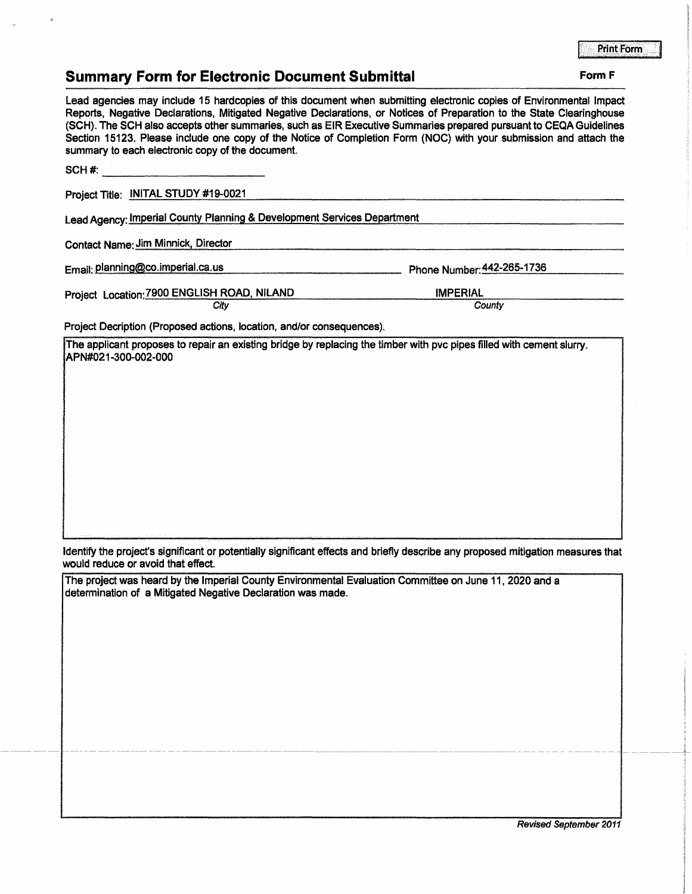## **Summary Form for Electronic Document Submittal Form F Form F**

Lead agencies may include 15 hardcopies of this document when submitting electronic copies of Environmental Impact Reports, Negative Declarations, Mitigated Negative Declarations, or Notices of Preparation to the State Clearinghouse (SCH). The SCH also accepts other summaries, such as EIR Executive Summaries prepared pursuant to CEQA Guidelines Section 15123. Please include one copy of the Notice of Completion Form (NOC) with your submission and attach the summary to each electronic copy of the document.

SCH #:<br>Project Title: INITAL STUDY #19-0021

Lead Agency: Imperial County Planning & Development Services Department

Contact Name: Jim Minnick, Director

Email:.Planning@co.imperial.ca.us Phone Number.\_44\_2\_-2\_6\_5\_-1\_7\_36 \_\_\_\_\_ \_

IMPERIAL

Project Location: 7900 ENGLISH ROAD, NILAND

**County** 

Project Decription (Proposed actions, location, and/or consequences},

**City** 

. The applicant proposes to repair an existing bridge by replacing the timber with pvc pipes filled with cement slurry. APN#021-300-002-000

Identify the project's significant or potentially significant effects and briefly describe any proposed mitigation measures that would reduce or avoid that effect.

The project was heard by the Imperial County Environmental Evaluation Committee on June 11, 2020 and a determination of a Mitigated Negative Declaration was made.